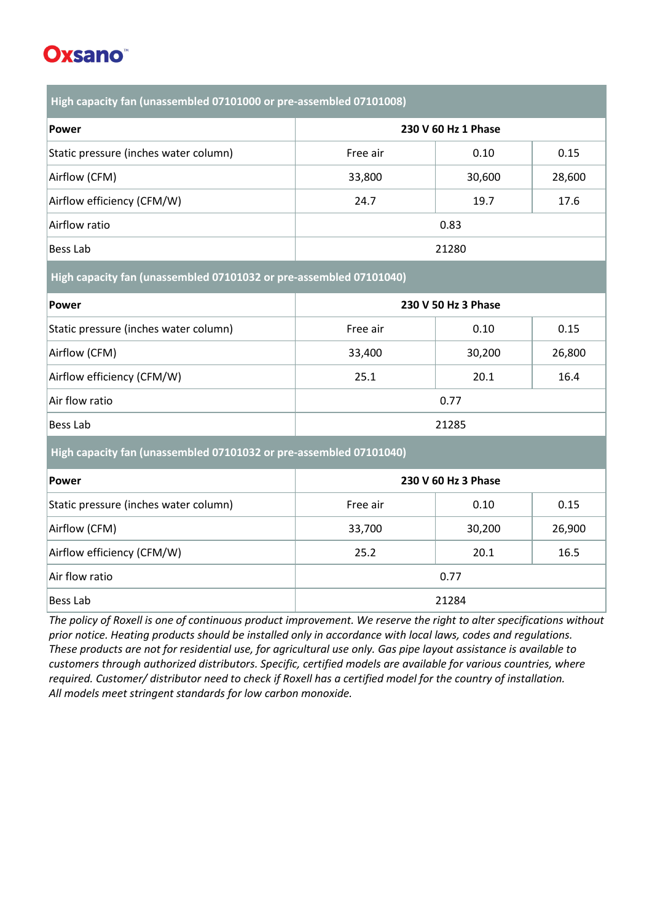## **Oxsano**

**High capacity fan (unassembled 07101000 or pre-assembled 07101008)**

| Power                                 | 230 V 60 Hz 1 Phase |        |        |
|---------------------------------------|---------------------|--------|--------|
| Static pressure (inches water column) | Free air            | 0.10   | 0.15   |
| Airflow (CFM)                         | 33,800              | 30,600 | 28,600 |
| Airflow efficiency (CFM/W)            | 24.7                | 19.7   | 17.6   |
| Airflow ratio                         | 0.83                |        |        |
| Bess Lab                              | 21280               |        |        |

**High capacity fan (unassembled 07101032 or pre-assembled 07101040)**

| Power                                 | 230 V 50 Hz 3 Phase |        |        |
|---------------------------------------|---------------------|--------|--------|
| Static pressure (inches water column) | Free air            | 0.10   | 0.15   |
| Airflow (CFM)                         | 33,400              | 30,200 | 26,800 |
| Airflow efficiency (CFM/W)            | 25.1                | 20.1   | 16.4   |
| Air flow ratio                        | 0.77                |        |        |
| Bess Lab                              | 21285               |        |        |

**High capacity fan (unassembled 07101032 or pre-assembled 07101040)**

| Power                                 | 230 V 60 Hz 3 Phase |        |        |
|---------------------------------------|---------------------|--------|--------|
| Static pressure (inches water column) | Free air            | 0.10   | 0.15   |
| Airflow (CFM)                         | 33,700              | 30,200 | 26,900 |
| Airflow efficiency (CFM/W)            | 25.2                | 20.1   | 16.5   |
| Air flow ratio                        | 0.77                |        |        |
| Bess Lab                              | 21284               |        |        |

*The policy of Roxell is one of continuous product improvement. We reserve the right to alter specifications without prior notice. Heating products should be installed only in accordance with local laws, codes and regulations. These products are not for residential use, for agricultural use only. Gas pipe layout assistance is available to customers through authorized distributors. Specific, certified models are available for various countries, where required. Customer/ distributor need to check if Roxell has a certified model for the country of installation. All models meet stringent standards for low carbon monoxide.*